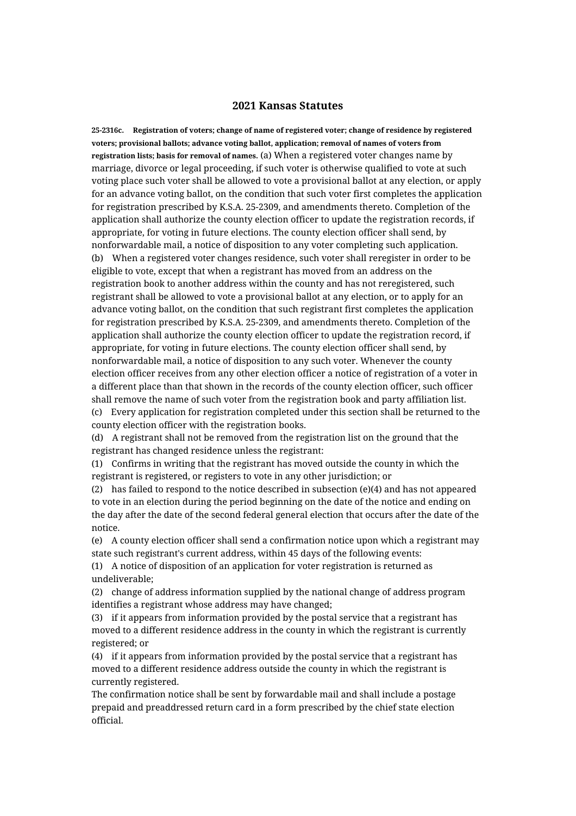## **2021 Kansas Statutes**

**25-2316c. Registration of voters; change of name of registered voter; change of residence by registered voters; provisional ballots; advance voting ballot, application; removal of names of voters from registration lists; basis for removal of names.** (a) When a registered voter changes name by marriage, divorce or legal proceeding, if such voter is otherwise qualified to vote at such voting place such voter shall be allowed to vote a provisional ballot at any election, or apply for an advance voting ballot, on the condition that such voter first completes the application for registration prescribed by K.S.A. 25-2309, and amendments thereto. Completion of the application shall authorize the county election officer to update the registration records, if appropriate, for voting in future elections. The county election officer shall send, by nonforwardable mail, a notice of disposition to any voter completing such application. (b) When a registered voter changes residence, such voter shall reregister in order to be eligible to vote, except that when a registrant has moved from an address on the registration book to another address within the county and has not reregistered, such registrant shall be allowed to vote a provisional ballot at any election, or to apply for an advance voting ballot, on the condition that such registrant first completes the application for registration prescribed by K.S.A. 25-2309, and amendments thereto. Completion of the application shall authorize the county election officer to update the registration record, if appropriate, for voting in future elections. The county election officer shall send, by nonforwardable mail, a notice of disposition to any such voter. Whenever the county election officer receives from any other election officer a notice of registration of a voter in a different place than that shown in the records of the county election officer, such officer shall remove the name of such voter from the registration book and party affiliation list. (c) Every application for registration completed under this section shall be returned to the county election officer with the registration books.

(d) A registrant shall not be removed from the registration list on the ground that the registrant has changed residence unless the registrant:

(1) Confirms in writing that the registrant has moved outside the county in which the registrant is registered, or registers to vote in any other jurisdiction; or

(2) has failed to respond to the notice described in subsection (e)(4) and has not appeared to vote in an election during the period beginning on the date of the notice and ending on the day after the date of the second federal general election that occurs after the date of the notice.

(e) A county election officer shall send a confirmation notice upon which a registrant may state such registrant's current address, within 45 days of the following events:

(1) A notice of disposition of an application for voter registration is returned as undeliverable;

(2) change of address information supplied by the national change of address program identifies a registrant whose address may have changed;

(3) if it appears from information provided by the postal service that a registrant has moved to a different residence address in the county in which the registrant is currently registered; or

(4) if it appears from information provided by the postal service that a registrant has moved to a different residence address outside the county in which the registrant is currently registered.

The confirmation notice shall be sent by forwardable mail and shall include a postage prepaid and preaddressed return card in a form prescribed by the chief state election official.